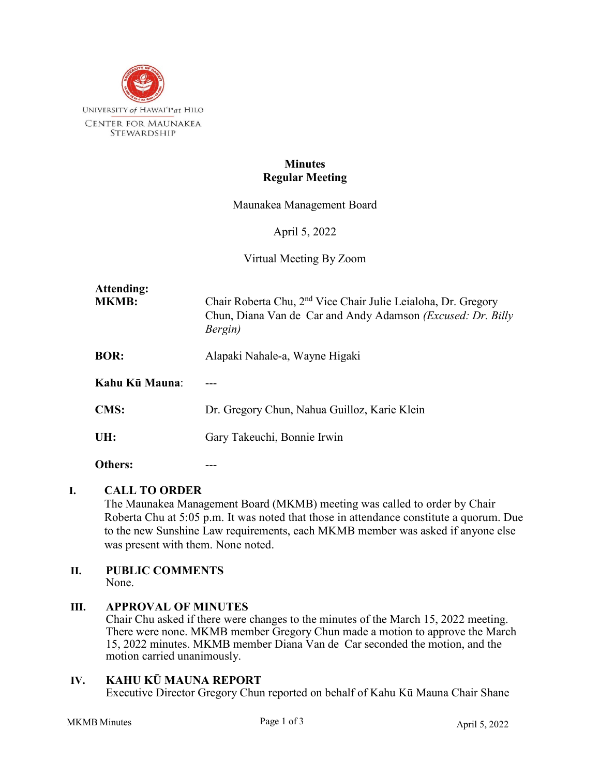

# **Minutes Regular Meeting**

Maunakea Management Board

April 5, 2022

Virtual Meeting By Zoom

| Attending:<br><b>MKMB:</b> | Chair Roberta Chu, 2 <sup>nd</sup> Vice Chair Julie Leialoha, Dr. Gregory<br>Chun, Diana Van de Car and Andy Adamson ( <i>Excused: Dr. Billy</i><br>Bergin) |
|----------------------------|-------------------------------------------------------------------------------------------------------------------------------------------------------------|
| <b>BOR:</b>                | Alapaki Nahale-a, Wayne Higaki                                                                                                                              |
| Kahu Kū Mauna:             |                                                                                                                                                             |
| <b>CMS:</b>                | Dr. Gregory Chun, Nahua Guilloz, Karie Klein                                                                                                                |
| UH:                        | Gary Takeuchi, Bonnie Irwin                                                                                                                                 |
| Others:                    |                                                                                                                                                             |

#### **I. CALL TO ORDER**

The Maunakea Management Board (MKMB) meeting was called to order by Chair Roberta Chu at 5:05 p.m. It was noted that those in attendance constitute a quorum. Due to the new Sunshine Law requirements, each MKMB member was asked if anyone else was present with them. None noted.

#### **II. PUBLIC COMMENTS** None.

#### **III. APPROVAL OF MINUTES**

Chair Chu asked if there were changes to the minutes of the March 15, 2022 meeting. There were none. MKMB member Gregory Chun made a motion to approve the March 15, 2022 minutes. MKMB member Diana Van de Car seconded the motion, and the motion carried unanimously.

#### **IV. KAHU KŪ MAUNA REPORT**

Executive Director Gregory Chun reported on behalf of Kahu Kū Mauna Chair Shane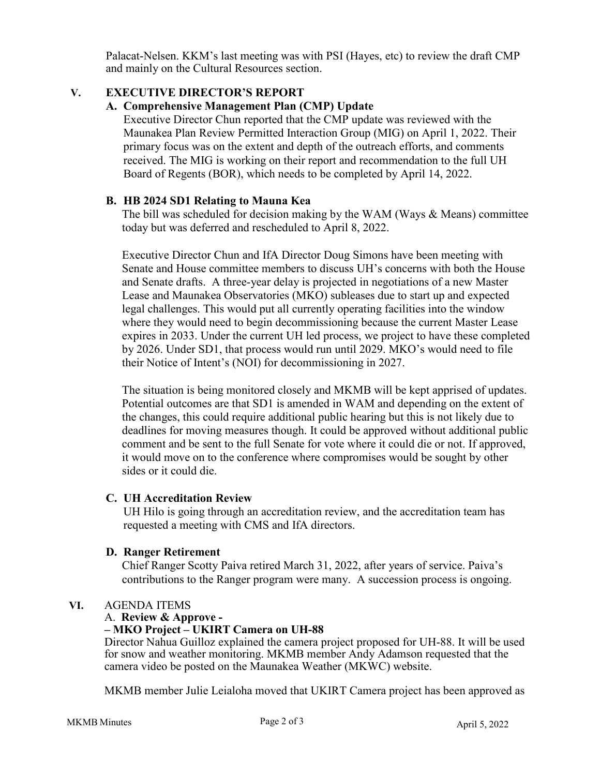Palacat-Nelsen. KKM's last meeting was with PSI (Hayes, etc) to review the draft CMP and mainly on the Cultural Resources section.

# **V. EXECUTIVE DIRECTOR'S REPORT**

# **A. Comprehensive Management Plan (CMP) Update**

Executive Director Chun reported that the CMP update was reviewed with the Maunakea Plan Review Permitted Interaction Group (MIG) on April 1, 2022. Their primary focus was on the extent and depth of the outreach efforts, and comments received. The MIG is working on their report and recommendation to the full UH Board of Regents (BOR), which needs to be completed by April 14, 2022.

# **B. HB 2024 SD1 Relating to Mauna Kea**

The bill was scheduled for decision making by the WAM (Ways & Means) committee today but was deferred and rescheduled to April 8, 2022.

Executive Director Chun and IfA Director Doug Simons have been meeting with Senate and House committee members to discuss UH's concerns with both the House and Senate drafts. A three-year delay is projected in negotiations of a new Master Lease and Maunakea Observatories (MKO) subleases due to start up and expected legal challenges. This would put all currently operating facilities into the window where they would need to begin decommissioning because the current Master Lease expires in 2033. Under the current UH led process, we project to have these completed by 2026. Under SD1, that process would run until 2029. MKO's would need to file their Notice of Intent's (NOI) for decommissioning in 2027.

The situation is being monitored closely and MKMB will be kept apprised of updates. Potential outcomes are that SD1 is amended in WAM and depending on the extent of the changes, this could require additional public hearing but this is not likely due to deadlines for moving measures though. It could be approved without additional public comment and be sent to the full Senate for vote where it could die or not. If approved, it would move on to the conference where compromises would be sought by other sides or it could die.

# **C. UH Accreditation Review**

UH Hilo is going through an accreditation review, and the accreditation team has requested a meeting with CMS and IfA directors.

# **D. Ranger Retirement**

Chief Ranger Scotty Paiva retired March 31, 2022, after years of service. Paiva's contributions to the Ranger program were many. A succession process is ongoing.

# **VI.** AGENDA ITEMS

# A. **Review & Approve -**

# **– MKO Project – UKIRT Camera on UH-88**

Director Nahua Guilloz explained the camera project proposed for UH-88. It will be used for snow and weather monitoring. MKMB member Andy Adamson requested that the camera video be posted on the Maunakea Weather (MKWC) website.

MKMB member Julie Leialoha moved that UKIRT Camera project has been approved as